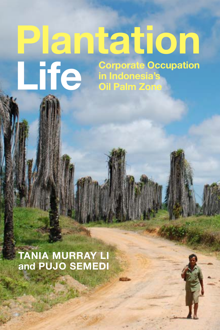## Plantation Life Corporate Occupation<br>
Corporate Occupation<br>
Oil Palm Zone in Indonesia's Oil Palm Zone

TANIA MURRAY LI and PUJO SEMEDI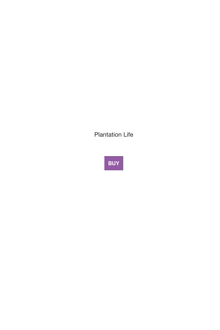Plantation Life

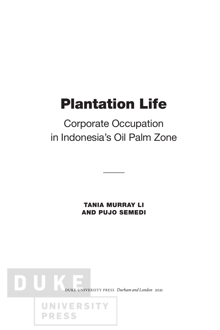## Plantation Life

## Corporate Occupation in Indonesia's Oil Palm Zone

TANIA MURRAY LI AND PUJO SEMEDI

duke university press *Durham and London* 2021 UNIVERSITY PRESS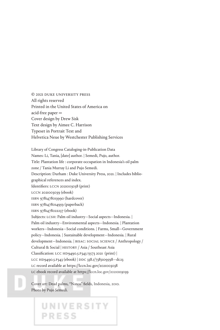© 2021 Duke University Press All rights reserved Printed in the United States of America on acid-free paper ∞ Cover design by Drew Sisk Text design by Aimee C. Harrison Typeset in Portrait Text and Helvetica Neue by Westchester Publishing Services

Library of Congress Cataloging-in-Publication Data Names: Li, Tania, [date] author. | Semedi, Pujo, author. Title: Plantation life : corporate occupation in Indonesia's oil palm zone / Tania Murray Li and Pujo Semedi. Description: Durham : Duke University Press, 2021. | Includes bibliographical references and index. Identifiers: LCCN 2021003038 (print) LCCN 2021003039 (ebook) ISBN 9781478013990 (hardcover) ISBN 9781478014959 (paperback) ISBN 9781478022237 (ebook) Subjects: LCSH: Palm oil industry—Social aspects—Indonesia. | Palm oil industry—Environmental aspects—Indonesia. | Plantation workers—Indonesia—Social conditions. | Farms, Small—Government policy—Indonesia. | Sustainable development—Indonesia. | Rural development—Indonesia. | BISAC: SOCIAL SCIENCE / Anthropology / Cultural & Social | HISTORY / Asia / Southeast Asia Classification: LCC HD9490.5.P343 I5573 2021 (print) | LCC HD9490.5.P343 (ebook) | DDC 338.1/7385109598—dc23 LC record available at https://lccn.loc.gov/2021003038 LC ebook record available at https://lccn.loc.gov/2021003039

Cover art: Dead palms, "Natco" fields, Indonesia, 2010. Photo by Pujo Semedi.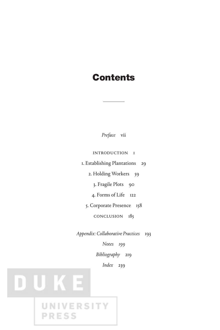## **Contents**

*Preface* vii

INTRODUCTION I

1. Establishing Plantations 29

2. Holding Workers 59

3. Fragile Plots 90

4. Forms of Life 122

5. Corporate Presence 158

conclusion 185

*Appendix: Collaborative Practices* 193

*Notes 199*

*Bibliography* 219

*Index* 239

## DUKE UNIVERSITY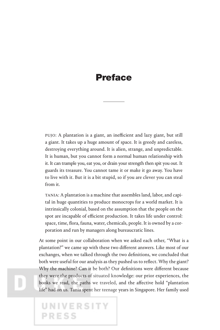### Preface

pujo: A plantation is a giant, an inefficient and lazy giant, but still a giant. It takes up a huge amount of space. It is greedy and careless, destroying everything around. It is alien, strange, and unpredictable. It is human, but you cannot form a normal human relationship with it. It can trample you, eat you, or drain your strength then spit you out. It guards its treasure. You cannot tame it or make it go away. You have to live with it. But it is a bit stupid, so if you are clever you can steal from it.

tania: A plantation is a machine that assembles land, labor, and capital in huge quantities to produce monocrops for a world market. It is intrinsically colonial, based on the assumption that the people on the spot are incapable of efficient production. It takes life under control: space, time, flora, fauna, water, chemicals, people. It is owned by a corporation and run by managers along bureaucratic lines.

At some point in our collaboration when we asked each other, "What is a plantation?" we came up with these two diferent answers. Like most of our exchanges, when we talked through the two definitions, we concluded that both were useful for our analysis as they pushed us to reflect. Why the giant? Why the machine? Can it be both? Our definitions were diferent because they were the products of situated knowledge: our prior experiences, the books we read, the paths we traveled, and the affective hold "plantation life" had on us. Tania spent her teenage years in Singapore. Her family used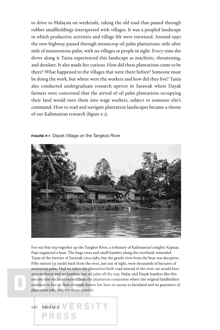to drive to Malaysia on weekends, taking the old road that passed through rubber smallholdings interspersed with villages. It was a peopled landscape in which productive activities and village life were entwined. Around 1990 the new highway passed through monocrop oil palm plantations: mile after mile of monotonous palm, with no villages or people in sight. Every time she drove along it Tania experienced this landscape as machinic, threatening, and desolate. It also made her curious. How did these plantations come to be there? What happened to the villages that were there before? Someone must be doing the work, but where were the workers and how did they live? Tania also conducted undergraduate research upriver in Sarawak where Dayak farmers were concerned that the arrival of oil palm plantations occupying their land would turn them into wage workers, subject to someone else's command. How to read and navigate plantation landscapes became a theme of our Kalimantan research (figure p.1).



FIGURE P.1 Dayak Village on the Tangkos River

viii PREFACE

PRESS

For our first trip together up the Tangkos River, a tributary of Kalimantan's mighty Kapuas, Pujo organized a boat. The huge trees and small hamlets along the riverbank reminded Tania of the interior of Sarawak circa 1980, but the gentle view from the boat was deceptive. Fifty meters (55 yards) back from the river, just out of sight, were thousands of hectares of monocrop palm. Had we taken the plantation-built road instead of the river, we would have seen no forest and no hamlets, just oil palm all the way. Malay and Dayak hamlets like this one are tiny enclaves excised from the plantation concession where the original landholders continue to live in their riverside homes but have no access to farmland and no guarantee of plantation jobs. PHOTO: PUJO SEMEDI.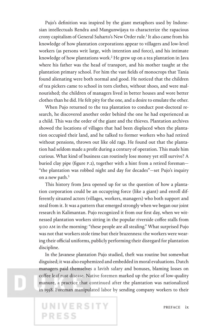Pujo's definition was inspired by the giant metaphors used by Indonesian intellectuals Rendra and Mangunwijaya to characterize the rapacious crony capitalism of General Suharto's New Order rule.<sup>1</sup> It also came from his knowledge of how plantation corporations appear to villagers and low-level workers (as persons writ large, with intention and force), and his intimate knowledge of how plantations work.<sup>2</sup> He grew up on a tea plantation in Java where his father was the head of transport, and his mother taught at the plantation primary school. For him the vast fields of monocrops that Tania found alienating were both normal and good. He noticed that the children of tea pickers came to school in torn clothes, without shoes, and were malnourished; the children of managers lived in better houses and wore better clothes than he did. He felt pity for the one, and a desire to emulate the other.

When Pujo returned to the tea plantation to conduct post-doctoral research, he discovered another order behind the one he had experienced as a child. This was the order of the giant and the thieves. Plantation archives showed the locations of villages that had been displaced when the plantation occupied their land, and he talked to former workers who had retired without pensions, thrown out like old rags. He found out that the plantation had seldom made a profit during a century of operation. This made him curious. What kind of business can routinely lose money yet still survive? A buried clay pipe (figure p.2), together with a hint from a retired foreman— "the plantation was robbed night and day for decades"—set Pujo's inquiry on a new path.<sup>3</sup>

This history from Java opened up for us the question of how a plantation corporation could be an occupying force (like a giant) and enroll differently situated actors (villages, workers, managers) who both support and steal from it. It was a pattern that emerged strongly when we began our joint research in Kalimantan. Pujo recognized it from our first day, when we witnessed plantation workers sitting in the popular riverside coffee stalls from 9:00 am in the morning: "these people are all stealing." What surprised Pujo was not that workers stole time but their brazenness: the workers were wearing their official uniforms, publicly performing their disregard for plantation discipline.

In the Javanese plantation Pujo studied, theft was routine but somewhat disguised; it was also euphemized and embedded in moral evaluations. Dutch managers paid themselves a lavish salary and bonuses, blaming losses on coffee leaf rust disease. Native foremen marked up the price of low-quality manure, a practice that continued after the plantation was nationalized in 1958. Foreman manipulated labor by sending company workers to their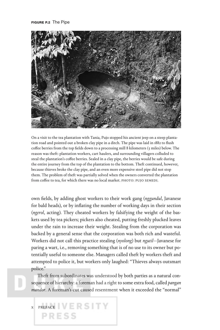

On a visit to the tea plantation with Tania, Pujo stopped his ancient jeep on a steep plantation road and pointed out a broken clay pipe in a ditch. The pipe was laid in 1882 to flush coffee berries from the top fields down to a processing mill 8 kilometers (5 miles) below. The reason was theft: plantation workers, cart haulers, and surrounding villagers colluded to steal the plantation's coffee berries. Sealed in a clay pipe, the berries would be safe during the entire journey from the top of the plantation to the bottom. Theft continued, however, because thieves broke the clay pipe, and an even more expensive steel pipe did not stop them. The problem of theft was partially solved when the owners converted the plantation from coffee to tea, for which there was no local market. PHOTO: PUJO SEMEDI.

own fields, by adding ghost workers to their work gang (*nggundul*, Javanese for bald heads), or by inflating the number of working days in their section (*ngerol*, acting). They cheated workers by falsifying the weight of the baskets used by tea pickers; pickers also cheated, putting freshly plucked leaves under the rain to increase their weight. Stealing from the corporation was backed by a general sense that the corporation was both rich and wasteful. Workers did not call this practice stealing (*nyolong*) but *ngutil*—Javanese for paring a wart, i.e., removing something that is of no use to its owner but potentially useful to someone else. Managers called theft by workers theft and attempted to police it, but workers only laughed: "Thieves always outsmart police."

Theft from subordinates was understood by both parties as a natural consequence of hierarchy: a foreman had a right to some extra food, called *pangan mandor*. A foreman's cut caused resentment when it exceeded the "normal"

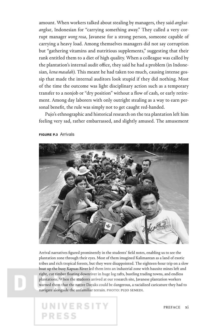amount. When workers talked about stealing by managers, they said *angkutangkut*, Indonesian for "carrying something away." They called a very corrupt manager *wong rosa*, Javanese for a strong person, someone capable of carrying a heavy load. Among themselves managers did not say corruption but "gathering vitamins and nutritious supplements," suggesting that their rank entitled them to a diet of high quality. When a colleague was called by the plantation's internal audit office, they said he had a problem (in Indonesian, *kena masalah*). This meant he had taken too much, causing intense gossip that made the internal auditors look stupid if they did nothing. Most of the time the outcome was light disciplinary action such as a temporary transfer to a nonjob or "dry position" without a flow of cash, or early retirement. Among day laborers with only outright stealing as a way to earn personal benefit, the rule was simply not to get caught red-handed.

Pujo's ethnographic and historical research on the tea plantation left him feeling very sad, rather embarrassed, and slightly amused. The amusement





Arrival narratives figured prominently in the students' field notes, enabling us to see the plantation zone through their eyes. Most of them imagined Kalimantan as a land of exotic tribes and rich tropical forests, but they were disappointed. The eighteen-hour trip on a slow boat up the busy Kapuas River led them into an industrial zone with bauxite mines left and right, cut timber floating downriver in huge log rafts, bustling trading towns, and endless plantations. When the students arrived at our research site, Javanese plantation workers warned them that the native Dayaks could be dangerous, a racialized caricature they had to navigate alongside the unfamiliar terrain. PHOTO: PUJO SEMEDI.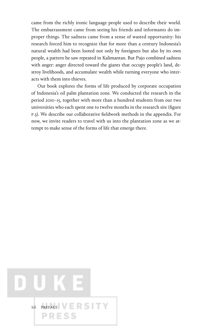came from the richly ironic language people used to describe their world. The embarrassment came from seeing his friends and informants do improper things. The sadness came from a sense of wasted opportunity: his research forced him to recognize that for more than a century Indonesia's natural wealth had been looted not only by foreigners but also by its own people, a pattern he saw repeated in Kalimantan. But Pujo combined sadness with anger: anger directed toward the giants that occupy people's land, destroy livelihoods, and accumulate wealth while turning everyone who interacts with them into thieves.

Our book explores the forms of life produced by corporate occupation of Indonesia's oil palm plantation zone. We conducted the research in the period 2010–15, together with more than a hundred students from our two universities who each spent one to twelve months in the research site (figure p.3). We describe our collaborative fieldwork methods in the appendix. For now, we invite readers to travel with us into the plantation zone as we attempt to make sense of the forms of life that emerge there.

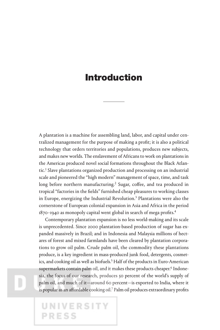## Introduction

A plantation is a machine for assembling land, labor, and capital under centralized management for the purpose of making a profit; it is also a political technology that orders territories and populations, produces new subjects, and makes new worlds. The enslavement of Africans to work on plantations in the Americas produced novel social formations throughout the Black Atlantic.<sup>1</sup> Slave plantations organized production and processing on an industrial scale and pioneered the "high modern" management of space, time, and task long before northern manufacturing.<sup>2</sup> Sugar, coffee, and tea produced in tropical "factories in the fields" furnished cheap pleasures to working classes in Europe, energizing the Industrial Revolution.<sup>3</sup> Plantations were also the cornerstone of European colonial expansion in Asia and Africa in the period 1870–1940 as monopoly capital went global in search of mega profits.4

Contemporary plantation expansion is no less world-making and its scale is unprecedented. Since 2000 plantation-based production of sugar has expanded massively in Brazil; and in Indonesia and Malaysia millions of hectares of forest and mixed farmlands have been cleared by plantation corporations to grow oil palm. Crude palm oil, the commodity these plantations produce, is a key ingredient in mass-produced junk food, detergents, cosmetics, and cooking oil as well as biofuels.<sup>5</sup> Half of the products in Euro-American supermarkets contain palm oil, and it makes these products cheaper.<sup>6</sup> Indonesia, the focus of our research, produces 50 percent of the world's supply of palm oil, and much of it—around 60 percent—is exported to India, where it is popular as an affordable cooking oil. $^7$  Palm oil produces extraordinary profits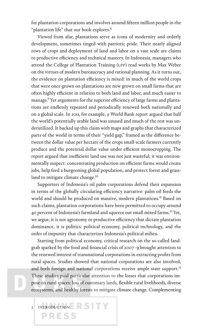for plantation corporations and involves around fifteen million people in the "plantation life" that our book explores.<sup>8</sup>

Viewed from afar, plantations serve as icons of modernity and orderly development, sometimes tinged with patriotic pride. Their neatly aligned rows of crops and deployment of land and labor on a vast scale are claims to productive efficiency and technical mastery. In Indonesia, managers who attend the College of Plantation Training (LPP) read works by Max Weber on the virtues of modern bureaucracy and rational planning. As it turns out, the evidence on plantation efficiency is mixed: in much of the world crops that were once grown on plantations are now grown on small farms that are often highly efficient in relation to both land and labor, and much easier to manage.9 Yet arguments for the superior efficiency of large farms and plantations are endlessly repeated and periodically renewed both nationally and on a global scale. In 2011, for example, a World Bank report argued that half the world's potentially arable land was unused and much of the rest was underutilized. It backed up this claim with maps and graphs that characterized parts of the world in terms of their "yield gap," framed as the difference between the dollar value per hectare of the crops small-scale farmers currently produce and the potential dollar value under efficient monocropping. The report argued that inefficient land use was not just wasteful; it was environmentally suspect: concentrating production on efficient farms would create jobs, help feed a burgeoning global population, and protect forest and grassland to mitigate climate change.<sup>10</sup>

Supporters of Indonesia's oil palm corporations defend their expansion in terms of the globally circulating efficiency narrative: palm oil feeds the world and should be produced on massive, modern plantations.<sup>11</sup> Based on such claims, plantation corporations have been permitted to occupy around 40 percent of Indonesia's farmland and squeeze out small mixed farms.<sup>12</sup> Yet, we argue, it is not agronomy or productive efficiency that dictate plantation dominance, it is politics: political economy, political technology, and the order of impunity that characterizes Indonesia's political milieu.

Starting from political economy, critical research on the so-called landgrab sparked by the food and financial crisis of 2007–9 brought attention to the renewed interest of transnational corporations in extracting profits from rural spaces. Studies showed that national corporations are also involved, and both foreign and national corporations receive ample state support.<sup>13</sup> These studies paid particular attention to the losses that corporations impose on rural spaces: loss of customary lands, flexible rural livelihoods, diverse ecosystems, and healthy forests to mitigate climate change. Complementing

INTRODUCTION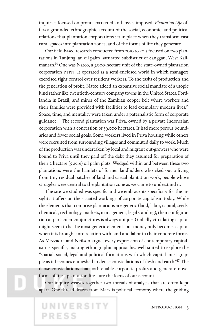inquiries focused on profits extracted and losses imposed, *Plantation Life* offers a grounded ethnographic account of the social, economic, and political relations that plantation corporations set in place when they transform vast rural spaces into plantation zones, and of the forms of life they generate.

Our field-based research conducted from 2010 to 2015 focused on two plantations in Tanjung, an oil palm–saturated subdistrict of Sanggau, West Kalimantan.<sup>14</sup> One was Natco, a 5,000-hectare unit of the state-owned plantation corporation PTPN. It operated as a semi-enclosed world in which managers exercised tight control over resident workers. To the tasks of production and the generation of profit, Natco added an expansive social mandate of a utopic kind rather like twentieth-century company towns in the United States, Fordlandia in Brazil, and mines of the Zambian copper belt where workers and their families were provided with facilities to lead exemplary modern lives.<sup>15</sup> Space, time, and mentality were taken under a paternalistic form of corporate guidance.<sup>16</sup> The second plantation was Priva, owned by a private Indonesian corporation with a concession of 39,000 hectares. It had more porous boundaries and fewer social goals. Some workers lived in Priva housing while others were recruited from surrounding villages and commuted daily to work. Much of the production was undertaken by local and migrant out-growers who were bound to Priva until they paid off the debt they assumed for preparation of their 2 hectare (5 acre) oil palm plots. Wedged within and between these two plantations were the hamlets of former landholders who eked out a living from tiny residual patches of land and casual plantation work, people whose struggles were central to the plantation zone as we came to understand it.

The site we studied was specific and we embrace its specificity for the insights it offers on the situated workings of corporate capitalism today. While the elements that comprise plantations are generic (land, labor, capital, seeds, chemicals, technology, markets, management, legal standing), their configuration at particular conjunctures is always unique. Globally circulating capital might seem to be the most generic element, but money only becomes capital when it is brought into relation with land and labor in their concrete forms. As Mezzadra and Neilson argue, every expression of contemporary capitalism is specific, making ethnographic approaches well suited to explore the "spatial, social, legal and political formations with which capital must grapple as it becomes enmeshed in dense constellations of flesh and earth."17 The dense constellations that both enable corporate profits and generate novel forms of life—plantation life—are the focus of our account.

Our inquiry weaves together two threads of analysis that are often kept apart. One thread drawn from Marx is political economy where the guiding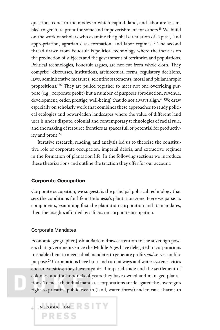questions concern the modes in which capital, land, and labor are assembled to generate profit for some and impoverishment for others.<sup>18</sup> We build on the work of scholars who examine the global circulation of capital, land appropriation, agrarian class formation, and labor regimes. 19 The second thread drawn from Foucault is political technology where the focus is on the production of subjects and the government of territories and populations. Political technologies, Foucault argues, are not cut from whole cloth. They comprise "discourses, institutions, architectural forms, regulatory decisions, laws, administrative measures, scientific statements, moral and philanthropic propositions."<sup>20</sup> They are pulled together to meet not one overriding purpose (e.g., corporate profit) but a number of purposes (production, revenue, development, order, prestige, well-being) that do not always align.<sup>21</sup> We draw especially on scholarly work that combines these approaches to study political ecologies and power-laden landscapes where the value of diferent land uses is under dispute, colonial and contemporary technologies of racial rule, and the making of resource frontiers as spaces full of potential for productivity and profit.<sup>22</sup>

Iterative research, reading, and analysis led us to theorize the constitutive role of corporate occupation, imperial debris, and extractive regimes in the formation of plantation life. In the following sections we introduce these theorizations and outline the traction they offer for our account.

### Corporate Occupation

Corporate occupation, we suggest, is the principal political technology that sets the conditions for life in Indonesia's plantation zone. Here we parse its components, examining first the plantation corporation and its mandates, then the insights afforded by a focus on corporate occupation.

#### Corporate Mandates

Economic geographer Joshua Barkan draws attention to the sovereign powers that governments since the Middle Ages have delegated to corporations to enable them to meet a dual mandate: to generate profits *and* serve a public purpose.<sup>23</sup> Corporations have built and run railways and water systems, cities and universities; they have organized imperial trade and the settlement of colonies; and for hundreds of years they have owned and managed plantations. To meet their dual mandate, corporations are delegated the sovereign's right to privatize public wealth (land, water, forest) and to cause harms to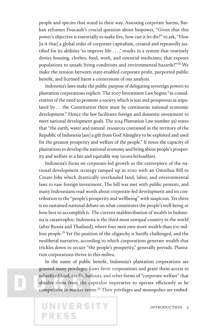people and species that stand in their way. Assessing corporate harms, Barkan reframes Foucault's crucial question about biopower, "Given that this power's objective is essentially to make live, how can it let die?" to ask, "How [is it that] a global order of corporate capitalism, created and repeatedly justified for its abilities 'to improve life . . . ,' results in a system that routinely denies housing, clothes, food, work, and essential medicines; that exposes populations to unsafe living conditions and environmental hazards?"<sup>24</sup> We make the tension between state-enabled corporate profit, purported public benefit, and licensed harm a cornerstone of our analysis.

Indonesia's laws make the public purpose of delegating sovereign powers to plantation corporations explicit. The 2007 Investment Law begins "in consideration of the need to promote a society which is just and prosperous as stipulated by . . . the Constitution there must be continuous national economic development." Hence the law facilitates foreign and domestic investment to meet national development goals. The 2014 Plantation Law number 39) states that "the earth, water and natural resources contained in the territory of the Republic of Indonesia [are] a gift from God Almighty to be exploited and used for the greatest prosperity and welfare of the people." It notes the capacity of plantations to develop the national economy and bring about people's prosperity and welfare in a fair and equitable way (*secara berkeadilan*).

Indonesia's focus on corporate-led growth as the centerpiece of the national development strategy ramped up in 2020 with an Omnibus Bill to Create Jobs which drastically overhauled land, labor, and environmental laws to ease foreign investment. The bill was met with public protests, and many Indonesians read words about corporate-led development and its contribution to the "people's prosperity and wellbeing" with suspicion. Yet there is no sustained national debate on what constitutes the people's well-being or how best to accomplish it. The current maldistribution of wealth in Indonesia is catastrophic: Indonesia is the third most unequal country in the world (after Russia and Thailand), where four men own more wealth than 100 million people.<sup>25</sup> Yet the position of the oligarchy is hardly challenged, and the neoliberal narrative, according to which corporations generate wealth that trickles down to secure "the people's prosperity," generally prevails. Plantation corporations thrive in this milieu.

In the name of public benefit, Indonesia's plantation corporations are granted many privileges. Laws favor corporations and grant them access to subsidized land, credit, bailouts, and other forms of "corporate welfare" that absolve them from the capitalist imperative to operate efficiently or be competitive in market terms.<sup>26</sup> Their privileges and monopolies are embed-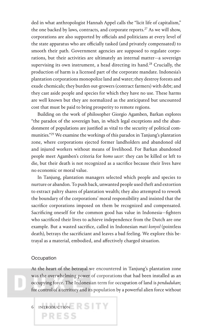ded in what anthropologist Hannah Appel calls the "licit life of capitalism," the one backed by laws, contracts, and corporate reports.<sup>27</sup> As we will show, corporations are also supported by officials and politicians at every level of the state apparatus who are officially tasked (and privately compensated) to smooth their path. Government agencies are supposed to regulate corporations, but their activities are ultimately an internal matter—a sovereign supervising its own instrument, a head directing its hand.<sup>28</sup> Crucially, the production of harm is a licensed part of the corporate mandate. Indonesia's plantation corporations monopolize land and water; they destroy forests and exude chemicals; they burden out-growers (contract farmers) with debt; and they cast aside people and species for which they have no use. These harms are well known but they are normalized as the anticipated but uncounted cost that must be paid to bring prosperity to remote regions.

Building on the work of philosopher Giorgio Agamben, Barkan explores "the paradox of the sovereign ban, in which legal exceptions and the abandonment of populations are justified as vital to the security of political communities."29 We examine the workings of this paradox in Tanjung's plantation zone, where corporations ejected former landholders and abandoned old and injured workers without means of livelihood. For Barkan abandoned people meet Agamben's criteria for *homo sacer:* they can be killed or left to die, but their death is not recognized as a sacrifice because their lives have no economic or moral value.

In Tanjung, plantation managers selected which people and species to nurture or abandon. To push back, unwanted people used theft and extortion to extract paltry shares of plantation wealth; they also attempted to rework the boundary of the corporations' moral responsibility and insisted that the sacrifice corporations imposed on them be recognized and compensated. Sacrificing oneself for the common good has value in Indonesia—fighters who sacrificed their lives to achieve independence from the Dutch are one example. But a wasted sacrifice, called in Indonesian *mati konyol* (pointless death), betrays the sacrificiant and leaves a bad feeling. We explore this betrayal as a material, embodied, and affectively charged situation.

#### **Occupation**

6 Introduction

PRESS

At the heart of the betrayal we encountered in Tanjung's plantation zone was the overwhelming power of corporations that had been installed as an occupying force. The Indonesian term for occupation of land is *pendudukan*; for control of a territory and its population by a powerful alien force without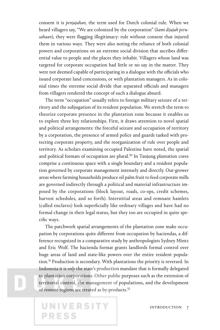consent it is *penjajahan,* the term used for Dutch colonial rule. When we heard villagers say, "We are colonized by the corporation" (*kami dijajah perusahaan*), they were flagging illegitimacy: rule without consent that injured them in various ways. They were also noting the reliance of both colonial powers and corporations on an extreme social division that ascribes differential value to people and the places they inhabit. Villagers whose land was targeted for corporate occupation had little or no say in the matter. They were not deemed capable of participating in a dialogue with the officials who issued corporate land concessions, or with plantation managers. As in colonial times the extreme social divide that separated officials and managers from villagers rendered the concept of such a dialogue absurd.

The term "occupation" usually refers to foreign military seizure of a territory and the subjugation of its resident population. We stretch the term to theorize corporate presence in the plantation zone because it enables us to explore three key relationships. First, it draws attention to novel spatial and political arrangements: the forceful seizure and occupation of territory by a corporation, the presence of armed police and guards tasked with protecting corporate property, and the reorganization of rule over people and territory. As scholars examining occupied Palestine have noted, the spatial and political formats of occupation are plural.<sup>30</sup> In Tanjung plantation cores comprise a continuous space with a single boundary and a resident population governed by corporate management intensely and directly. Out-grower areas where farming households produce oil palm fruit to feed corporate mills are governed indirectly through a political and material infrastructure imposed by the corporations (block layout, roads, co-ops, credit schemes, harvest schedules, and so forth). Interstitial areas and remnant hamlets (called enclaves) look superficially like ordinary villages and have had no formal change in their legal status, but they too are occupied in quite specific ways.

The patchwork spatial arrangements of the plantation zone make occupation by corporations quite diferent from occupation by haciendas, a difference recognized in a comparative study by anthropologists Sydney Mintz and Eric Wolf. The hacienda format grants landlords formal control over huge areas of land and state-like powers over the entire resident population.<sup>31</sup> Production is secondary. With plantations the priority is reversed. In Indonesia it is *only* the state's production mandate that is formally delegated to plantation corporations. Other public purposes such as the extension of territorial control, the management of populations, and the development of remote regions are treated as by-products.<sup>32</sup>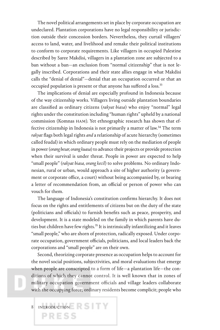The novel political arrangements set in place by corporate occupation are undeclared. Plantation corporations have no legal responsibility or jurisdiction outside their concession borders. Nevertheless, they curtail villagers' access to land, water, and livelihood and remake their political institutions to conform to corporate requirements. Like villagers in occupied Palestine described by Saree Makdisi, villagers in a plantation zone are subjected to a ban without a ban—an exclusion from "normal citizenship" that is not legally inscribed. Corporations and their state allies engage in what Makdisi calls the "denial of denial"—denial that an occupation occurred or that an occupied population is present or that anyone has suffered a loss.<sup>33</sup>

The implications of denial are especially profound in Indonesia because of the way citizenship works. Villagers living outside plantation boundaries are classified as ordinary citizens (*rakyat biasa*) who enjoy "normal" legal rights under the constitution including "human rights" upheld by a national commission (Komnas ham). Yet ethnographic research has shown that effective citizenship in Indonesia is not primarily a matter of law.<sup>34</sup> The term *rakyat* flags both legal rights *and* a relationship of acute hierarchy (sometimes called feudal) in which ordinary people must rely on the mediation of people in power (*orang besar, orang kuasa*) to advance their projects or provide protection when their survival is under threat. People in power are expected to help "small people" (*rakyat biasa, orang kecil*) to solve problems. No ordinary Indonesian, rural or urban, would approach a site of higher authority (a government or corporate office, a court) without being accompanied by, or bearing a letter of recommendation from, an official or person of power who can vouch for them.

The language of Indonesia's constitution confirms hierarchy. It does not focus on the rights and entitlements of citizens but on the duty of the state (politicians and officials) to furnish benefits such as peace, prosperity, and development. It is a state modeled on the family in which parents have duties but children have few rights.<sup>35</sup> It is intrinsically infantilizing and it leaves "small people," who are shorn of protection, radically exposed. Under corporate occupation, government officials, politicians, and local leaders back the corporations and "small people" are on their own.

Second, theorizing corporate presence as occupation helps to account for the novel social positions, subjectivities, and moral evaluations that emerge when people are conscripted to a form of life—a plantation life—the conditions of which they cannot control. It is well known that in zones of military occupation government officials and village leaders collaborate with the occupying force; ordinary residents become complicit; people who

8 INTRODUCTION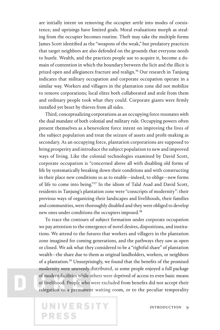are initially intent on removing the occupier settle into modes of coexistence; and uprisings have limited goals. Moral evaluations morph as stealing from the occupier becomes routine. Theft may take the multiple forms James Scott identified as the "weapons of the weak," but predatory practices that target neighbors are also defended on the grounds that everyone needs to hustle. Wealth, and the practices people use to acquire it, become a domain of contention in which the boundary between the licit and the illicit is prized open and allegiances fracture and realign.<sup>36</sup> Our research in Tanjung indicates that military occupation and corporate occupation operate in a similar way. Workers and villagers in the plantation zone did not mobilize to remove corporations; local elites both collaborated and stole from them and ordinary people took what they could. Corporate giants were firmly installed yet beset by thieves from all sides.

Third, conceptualizing corporations as an occupying force resonates with the dual mandate of both colonial and military rule. Occupying powers often present themselves as a benevolent force intent on improving the lives of the subject population and treat the seizure of assets and profit-making as secondary. As an occupying force, plantation corporations are supposed to bring prosperity and introduce the subject population to new and improved ways of living. Like the colonial technologies examined by David Scott, corporate occupation is "concerned above all with disabling old forms of life by systematically breaking down their conditions and with constructing in their place new conditions so as to enable—indeed, to oblige—new forms of life to come into being."37 In the idiom of Talal Asad and David Scott, residents in Tanjung's plantation zone were "conscripts of modernity": their previous ways of organizing their landscapes and livelihoods, their families and communities, were thoroughly disabled and they were obliged to develop new ones under conditions the occupiers imposed.<sup>38</sup>

To trace the contours of subject formation under corporate occupation we pay attention to the emergence of novel desires, dispositions, and institutions. We attend to the futures that workers and villagers in the plantation zone imagined for coming generations, and the pathways they saw as open or closed. We ask what they considered to be a "rightful share" of plantation wealth—the share due to them as original landholders, workers, or neighbors of a plantation.39 Unsurprisingly, we found that the benefits of the promised modernity were unevenly distributed, as some people enjoyed a full package of modern facilities while others were deprived of access to even basic means of livelihood. People who were excluded from benefits did not accept their relegation to a permanent waiting room, or to the peculiar temporality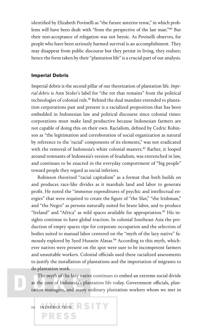identified by Elizabeth Povinelli as "the future anterior tense," in which problems will have been dealt with "from the perspective of the last man."40 But their non-acceptance of relegation was not heroic. As Povinelli observes, for people who have been seriously harmed survival is an accomplishment. They may disappear from public discourse but they persist in living, they endure; hence the form taken by their "plantation life" is a crucial part of our analysis.

#### Imperial Debris

Imperial debris is the second pillar of our theorization of plantation life. *Imperial debris* is Ann Stoler's label for "the rot that remains" from the political technologies of colonial rule.<sup>41</sup> Behind the dual mandate extended to plantation corporations past and present is a racialized proposition that has been embedded in Indonesian law and political discourse since colonial times: corporations must make land productive because Indonesian farmers are not capable of doing this on their own. Racialism, defined by Cedric Robinson as "the legitimation and corroboration of social organization as natural by reference to the 'racial' components of its elements," was not eradicated with the removal of Indonesia's white colonial masters.<sup>42</sup> Rather, it looped around remnants of Indonesia's version of feudalism, was entrenched in law, and continues to be enacted in the everyday comportment of "big people" toward people they regard as social inferiors.

Robinson theorized "racial capitalism" as a format that both builds on and produces race-like divides as it marshals land and labor to generate profit. He noted the "immense expenditures of psychic and intellectual energies" that were required to create the figure of "the Slav," "the Irishman," and "the Negro" as persons naturally suited for brute labor, and to produce "Ireland" and "Africa" as wild spaces available for appropriation.<sup>43</sup> His insights continue to have global traction. In colonial Southeast Asia the production of empty spaces ripe for corporate occupation and the selection of bodies suited to manual labor centered on the "myth of the lazy native" famously explored by Syed Hussein Alatas.<sup>44</sup> According to this myth, whichever natives were present on the spot were sure to be incompetent farmers and unsuitable workers. Colonial officials used these racialized assessments to justify the installation of plantations and the importation of migrants to do plantation work.

The myth of the lazy native continues to embed an extreme social divide at the core of Indonesia's plantation life today. Government officials, plantation managers, and many ordinary plantation workers whom we met in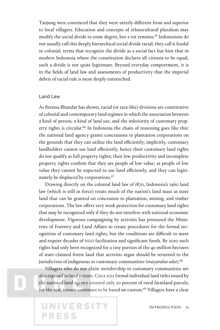Tanjung were convinced that they were utterly diferent from and superior to local villagers. Education and concepts of ethnocultural pluralism may modify the social divide to some degree, but a rot remains.45 Indonesians do not usually call this deeply hierarchical social divide racial; they call it feudal or colonial, terms that recognize the divide as a social fact but hint that in modern Indonesia where the constitution declares all citizens to be equal, such a divide is not quite legitimate. Beyond everyday comportment, it is in the fields of land law and assessments of productivity that the imperial debris of racial rule is most deeply entrenched.

### Land Law

As Brenna Bhandar has shown, racial (or race-like) divisions are constitutive of colonial and contemporary land regimes in which the association between a kind of person, a kind of land use, and the inferiority of customary property rights is circular.<sup>46</sup> In Indonesia the chain of reasoning goes like this: the national land agency grants concessions to plantation corporations on the grounds that they can utilize the land efficiently; implicitly, customary landholders cannot use land efficiently; hence their customary land rights do not qualify as full property rights; their low productivity and incomplete property rights confirm that they are people of low value; as people of low value they cannot be expected to use land efficiently, and they can legitimately be displaced by corporations.47

Drawing directly on the colonial land law of 1870, Indonesia's 1960 land law (which is still in force) treats much of the nation's land mass as state land that can be granted on concession to plantation, mining, and timber corporations. The law offers very weak protection for customary land rights that may be recognized only if they do not interfere with national economic development. Vigorous campaigning by activists has pressured the Ministries of Forestry and Land Affairs to create procedures for the formal recognition of customary land rights, but the conditions are difficult to meet and require decades of NGO facilitation and significant funds. By 2020 such rights had only been recognized for a tiny portion of the 40 million hectares of state-claimed forest land that activists argue should be returned to the jurisdiction of indigenous or customary communities (*masyarakat adat*).48

Villagers who do not claim membership in customary communities are also exposed to land seizure. Circa 2015 formal individual land titles issued by the national land agency covered only 20 percent of rural farmland parcels; for the rest, tenure continues to be based on custom.<sup>49</sup> Villagers have a clear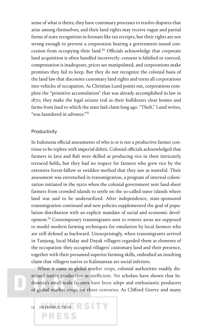sense of what is theirs; they have customary processes to resolve disputes that arise among themselves; and their land rights may receive vague and partial forms of state recognition in formats like tax receipts, but their rights are not strong enough to prevent a corporation bearing a government-issued concession from occupying their land.50 Officials acknowledge that corporate land acquisition is often handled incorrectly: consent is falsified or coerced, compensation is inadequate, prices are manipulated, and corporations make promises they fail to keep. But they do not recognize the colonial basis of the land law that discounts customary land rights and turns all corporations into vehicles of occupation. As Christian Lund points out, corporations complete the "primitive accumulation" that was already accomplished in law in 1870; they make the legal seizure real as their bulldozers clear homes and farms from land to which the state laid claim long ago. "Theft," Lund writes, "was laundered in advance."51

#### **Productivity**

In Indonesia official assessments of who is or is not a productive farmer continue to be replete with imperial debris. Colonial officials acknowledged that farmers in Java and Bali were skilled at producing rice in their intricately terraced fields, but they had no respect for farmers who grew rice by the extensive forest-fallow or swidden method that they saw as wasteful. Their assessment was entrenched in transmigration, a program of internal colonization initiated in the 1920s when the colonial government sent land-short farmers from crowded islands to settle on the so-called outer islands where land was said to be underutilized. After independence, state-sponsored transmigration continued and new policies supplemented the goal of population distribution with an explicit mandate of social and economic development.<sup>52</sup> Contemporary transmigrants sent to remote areas are supposed to model modern farming techniques for emulation by local farmers who are still defined as backward. Unsurprisingly, when transmigrants arrived in Tanjung, local Malay and Dayak villagers regarded them as elements of the occupation: they occupied villagers' customary land and their presence, together with their presumed superior farming skills, embodied an insulting claim that villagers native to Kalimantan are social inferiors.

When it came to global market crops, colonial authorities readily dismissed native production as inefficient. Yet scholars have shown that Indonesia's small-scale farmers have been adept and enthusiastic producers of global market crops for three centuries. As Clifford Geertz and many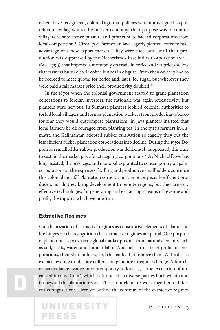others have recognized, colonial agrarian policies were not designed to pull reluctant villagers into the market economy; their purpose was to confine villagers to subsistence pursuits and protect state-backed corporations from local competition.<sup>53</sup> Circa 1700, farmers in Java eagerly planted coffee to take advantage of a new export market. They were successful until their production was suppressed by the Netherlands East Indies Corporation (voc, 1602–1799) that imposed a monopoly on trade in coffee and set prices so low that farmers burned their coffee bushes in disgust. From then on they had to be coerced to meet quotas for coffee and, later, for sugar, but wherever they were paid a fair market price their productivity doubled.<sup>54</sup>

In the 1870s when the colonial government started to grant plantation concessions to foreign investors, the rationale was again productivity, but planters were nervous. In Sumatra planters lobbied colonial authorities to forbid local villagers and former plantation workers from producing tobacco for fear they would outcompete plantations. In Java planters insisted that local farmers be discouraged from planting tea. In the 1920s farmers in Sumatra and Kalimantan adopted rubber cultivation so eagerly they put the less efficient rubber plantation corporations into decline. During the 1930s Depression smallholder rubber production was deliberately suppressed, this time to sustain the market price for struggling corporations.<sup>55</sup> As Michael Dove has long insisted, the privileges and monopolies granted to contemporary oil palm corporations at the expense of willing and productive smallholders continue this colonial motif.<sup>56</sup> Plantation corporations are not especially efficient producers nor do they bring development to remote regions, but they are very effective technologies for generating and extracting streams of revenue and profit, the topic to which we now turn.

### Extractive Regimes

Our theorization of extractive regimes as constitutive elements of plantation life hinges on the recognition that extractive regimes are plural. One purpose of plantations is to extract a global market product from natural elements such as soil, seeds, water, and human labor. Another is to extract profit for corporations, their shareholders, and the banks that finance them. A third is to extract revenue to fill state coffers and generate foreign exchange. A fourth, of particular relevance in contemporary Indonesia, is the extraction of unearned income (rent), which is funneled to diverse parties both within and far beyond the plantation zone. These four elements work together in diferent configurations. Here we outline the contours of the extractive regimes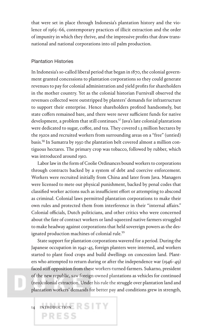that were set in place through Indonesia's plantation history and the violence of 1965–66, contemporary practices of illicit extraction and the order of impunity in which they thrive, and the impressive profits that draw transnational and national corporations into oil palm production.

#### Plantation Histories

In Indonesia's so-called liberal period that began in 1870, the colonial government granted concessions to plantation corporations so they could generate revenues to pay for colonial administration and yield profits for shareholders in the mother country. Yet as the colonial historian Furnivall observed the revenues collected were outstripped by planters' demands for infrastructure to support their enterprise. Hence shareholders profited handsomely, but state coffers remained bare, and there were never sufficient funds for native development, a problem that still continues.<sup>57</sup> Java's late colonial plantations were dedicated to sugar, coffee, and tea. They covered 1.3 million hectares by the 1920s and recruited workers from surrounding areas on a "free" (untied) basis.58 In Sumatra by 1930 the plantation belt covered almost a million contiguous hectares. The primary crop was tobacco, followed by rubber, which was introduced around 1910.

Labor law in the form of Coolie Ordinances bound workers to corporations through contracts backed by a system of debt and coercive enforcement. Workers were recruited initially from China and later from Java. Managers were licensed to mete out physical punishment, backed by penal codes that classified worker actions such as insufficient effort or attempting to abscond as criminal. Colonial laws permitted plantation corporations to make their own rules and protected them from interference in their "internal affairs." Colonial officials, Dutch politicians, and other critics who were concerned about the fate of contract workers or land-squeezed native farmers struggled to make headway against corporations that held sovereign powers as the designated production machines of colonial rule.<sup>59</sup>

State support for plantation corporations wavered for a period. During the Japanese occupation in 1942–45, foreign planters were interned, and workers started to plant food crops and build dwellings on concession land. Planters who attempted to return during or after the independence war (1946–49) faced stiff opposition from these workers-turned-farmers. Sukarno, president of the new republic, saw foreign-owned plantations as vehicles for continued (neo)colonial extraction. Under his rule the struggle over plantation land and plantation workers' demands for better pay and conditions grew in strength,

14 Introduction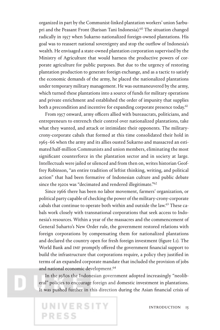organized in part by the Communist-linked plantation workers' union Sarbupri and the Peasant Front (Barisan Tani Indonesia).<sup>60</sup> The situation changed radically in 1957 when Sukarno nationalized foreign-owned plantations. His goal was to reassert national sovereignty and stop the outflow of Indonesia's wealth. He envisaged a state-owned plantation corporation supervised by the Ministry of Agriculture that would harness the productive powers of corporate agriculture for public purposes. But due to the urgency of restoring plantation production to generate foreign exchange, and as a tactic to satisfy the economic demands of the army, he placed the nationalized plantations under temporary military management. He was outmaneuvered by the army, which turned these plantations into a source of funds for military operations and private enrichment and established the order of impunity that supplies both a precondition and incentive for expanding corporate presence today.<sup>61</sup>

From 1957 onward, army officers allied with bureaucrats, politicians, and entrepreneurs to entrench their control over nationalized plantations, take what they wanted, and attack or intimidate their opponents. The militarycrony-corporate cabals that formed at this time consolidated their hold in 1965–66 when the army and its allies ousted Sukarno and massacred an estimated half-million Communists and union members, eliminating the most significant counterforce in the plantation sector and in society at large. Intellectuals were jailed or silenced and from then on, writes historian Geoffrey Robinson, "an entire tradition of leftist thinking, writing, and political action" that had been formative of Indonesian culture and public debate since the 1920s was "decimated and rendered illegitimate."<sup>62</sup>

Since 1966 there has been no labor movement, farmers' organization, or political party capable of checking the power of the military-crony-corporate cabals that continue to operate both within and outside the law.<sup>63</sup> These cabals work closely with transnational corporations that seek access to Indonesia's resources. Within a year of the massacres and the commencement of General Suharto's New Order rule, the government restored relations with foreign corporations by compensating them for nationalized plantations and declared the country open for fresh foreign investment (figure I.1). The World Bank and IMF promptly offered the government financial support to build the infrastructure that corporations require, a policy they justified in terms of an expanded corporate mandate that included the provision of jobs and national economic development.<sup>64</sup>

In the 1980s the Indonesian government adopted increasingly "neoliberal" policies to encourage foreign and domestic investment in plantations. It was pushed further in this direction during the Asian financial crisis of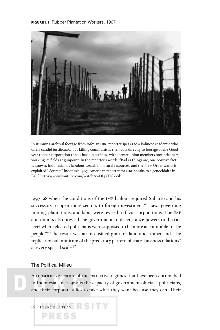#### FIGURE I.1 Rubber Plantation Workers, 1967



In stunning archival footage from 1967, an NBC reporter speaks to a Balinese academic who offers candid justification for killing communists, then cuts directly to footage of the Goodyear rubber corporation that is back in business with former union members now prisoners, working its fields at gunpoint. In the reporter's words, "Bad as things are, one positive fact is known: Indonesia has fabulous wealth in natural resources, and the New Order wants it exploited." Source: "Indonesia 1967: American reporter for NBC speaks to a genocidaire in Bali." https://www.youtube.com/watch?v=DI42TlCZcik.

1997–98 when the conditions of the IMF bailout required Suharto and his successors to open more sectors to foreign investment.<sup>65</sup> Laws governing mining, plantations, and labor were revised to favor corporations. The IMF and donors also pressed the government to decentralize powers to district level where elected politicians were supposed to be more accountable to the people. 66 The result was an intensified grab for land and timber and "the replication ad infinitum of the predatory pattern of state–business relations" at every spatial scale.<sup>67</sup>

#### The Political Milieu

16 Introduction

PRESS

A constitutive feature of the extractive regimes that have been entrenched in Indonesia since 1966 is the capacity of government officials, politicians, and their corporate allies to take what they want because they can. Their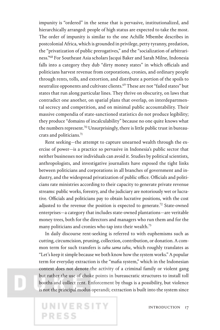impunity is "ordered" in the sense that is pervasive, institutionalized, and hierarchically arranged: people of high status are expected to take the most. The order of impunity is similar to the one Achille Mbembe describes in postcolonial Africa, which is grounded in privilege, petty tyranny, predation, the "privatization of public prerogatives," and the "socialization of arbitrariness."68 For Southeast Asia scholars Jacqui Baker and Sarah Milne, Indonesia falls into a category they dub "dirty money states" in which officials and politicians harvest revenue from corporations, cronies, and ordinary people through rents, tolls, and extortion, and distribute a portion of the spoils to neutralize opponents and cultivate clients.<sup>69</sup> These are not "failed states" but states that run along particular lines. They thrive on obscurity, on laws that contradict one another, on spatial plans that overlap, on interdepartmental secrecy and competition, and on minimal public accountability. Their massive compendia of state-sanctioned statistics do not produce legibility; they produce "domains of incalculability" because no one quite knows what the numbers represent.<sup>70</sup> Unsurprisingly, there is little public trust in bureaucrats and politicians.71

Rent seeking—the attempt to capture unearned wealth through the exercise of power—is a practice so pervasive in Indonesia's public sector that neither businesses nor individuals can avoid it. Studies by political scientists, anthropologists, and investigative journalists have exposed the tight links between politicians and corporations in all branches of government and industry, and the widespread privatization of public office. Officials and politicians rate ministries according to their capacity to generate private revenue streams: public works, forestry, and the judiciary are notoriously wet or lucrative. Officials and politicians pay to obtain lucrative positions, with the cost adjusted to the revenue the position is expected to generate.<sup>72</sup> State-owned enterprises—a category that includes state-owned plantations—are veritable money trees, both for the directors and managers who run them and for the many politicians and cronies who tap into their wealth.<sup>73</sup>

In daily discourse rent-seeking is referred to with euphemisms such as cutting, circumcision, pruning, collection, contribution, or donation. A common term for such transfers is *tahu sama tahu*, which roughly translates as "Let's keep it simple because we both know how the system works." A popular term for everyday extraction is the "mafia system," which in the Indonesian context does not denote the activity of a criminal family or violent gang but rather the use of choke points in bureaucratic structures to install toll booths and collect rent. Enforcement by thugs is a possibility, but violence is not the principal modus operandi; extraction is built into the system since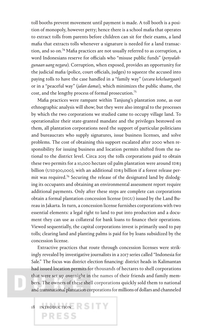toll booths prevent movement until payment is made. A toll booth is a position of monopoly, however petty; hence there is a school mafia that operates to extract tolls from parents before children can sit for their exams, a land mafia that extracts tolls whenever a signature is needed for a land transaction, and so on.<sup>74</sup> Mafia practices are not usually referred to as corruption, a word Indonesians reserve for officials who "misuse public funds" (*penyalahgunaan uang negara*). Corruption, when exposed, provides an opportunity for the judicial mafia (police, court officials, judges) to squeeze the accused into paying tolls to have the case handled in a "family way" (*secara kekeluargaan*) or in a "peaceful way" (*jalan damai*), which minimizes the public shame, the cost, and the lengthy process of formal prosecution.75

Mafia practices were rampant within Tanjung's plantation zone, as our ethnographic analysis will show; but they were also integral to the processes by which the two corporations we studied came to occupy village land. To operationalize their state-granted mandate and the privileges bestowed on them, all plantation corporations need the support of particular politicians and bureaucrats who supply signatures, issue business licenses, and solve problems. The cost of obtaining this support escalated after 2000 when responsibility for issuing business and location permits shifted from the national to the district level. Circa 2015 the tolls corporations paid to obtain these two permits for a 10,000 hectare oil palm plantation were around IDR3 billion (USD300,000), with an additional IDR3 billion if a forest release permit was required.<sup>76</sup> Securing the release of the designated land by dislodging its occupants and obtaining an environmental assessment report require additional payments. Only after these steps are complete can corporations obtain a formal plantation concession license (HGU) issued by the Land Bureau in Jakarta. In turn, a concession license furnishes corporations with two essential elements: a legal right to land to put into production and a document they can use as collateral for bank loans to finance their operations. Viewed sequentially, the capital corporations invest is primarily used to pay tolls; clearing land and planting palms is paid for by loans subsidized by the concession license.

Extractive practices that route through concession licenses were strikingly revealed by investigative journalists in a 2017 series called "Indonesia for Sale." The focus was district election financing: district heads in Kalimantan had issued location permits for thousands of hectares to shell corporations that were set up overnight in the names of their friends and family members. The owners of these shell corporations quickly sold them to national and transnational plantation corporations for millions of dollars and channeled

INTRODUCTION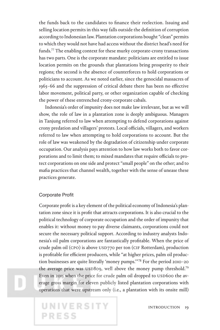the funds back to the candidates to finance their reelection. Issuing and selling location permits in this way falls outside the definition of corruption according to Indonesian law. Plantation corporations bought "clean" permits to which they would not have had access without the district head's need for funds.<sup>77</sup> The enabling context for these murky corporate-crony transactions has two parts. One is the corporate mandate: politicians are entitled to issue location permits on the grounds that plantations bring prosperity to their regions; the second is the absence of counterforces to hold corporations or politicians to account. As we noted earlier, since the genocidal massacres of 1965–66 and the suppression of critical debate there has been no effective labor movement, political party, or other organization capable of checking the power of these entrenched crony-corporate cabals.

Indonesia's order of impunity does not make law irrelevant, but as we will show, the role of law in a plantation zone is deeply ambiguous. Managers in Tanjung referred to law when attempting to defend corporations against crony predation and villagers' protests. Local officials, villagers, and workers referred to law when attempting to hold corporations to account. But the role of law was weakened by the degradation of citizenship under corporate occupation. Our analysis pays attention to how law works both to favor corporations and to limit them; to mixed mandates that require officials to protect corporations on one side and protect "small people" on the other; and to mafia practices that channel wealth, together with the sense of unease these practices generate.

### Corporate Profit

Corporate profit is a key element of the political economy of Indonesia's plantation zone since it is profit that attracts corporations. It is also crucial to the political technology of corporate occupation and the order of impunity that enables it: without money to pay diverse claimants, corporations could not secure the necessary political support. According to industry analysts Indonesia's oil palm corporations are fantastically profitable. When the price of crude palm oil (CPO) is above USD770 per ton (CIF Rotterdam), production is profitable for efficient producers, while "at higher prices, palm oil production businesses are quite literally 'money pumps.'"78 For the period 2010–20 the average price was USD809, well above the money pump threshold.<sup>79</sup> Even in 2015 when the price for crude palm oil dropped to USD600 the average gross margin for eleven publicly listed plantation corporations with operations that were upstream only (i.e., a plantation with its onsite mill)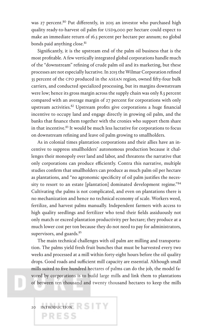was 27 percent.<sup>80</sup> Put differently, in 2015 an investor who purchased high quality ready-to-harvest oil palm for USD9,000 per hectare could expect to make an immediate return of 16.5 percent per hectare per annum; no global bonds paid anything close.<sup>81</sup>

Significantly, it is the upstream end of the palm oil business that is the most profitable. A few vertically integrated global corporations handle much of the "downstream" refining of crude palm oil and its marketing, but these processes are not especially lucrative. In 2015 the Wilmar Corporation refined 35 percent of the cpo produced in the asean region, owned fifty-four bulk carriers, and conducted specialized processing, but its margins downstream were low; hence its gross margin across the supply chain was only 8.3 percent compared with an average margin of 27 percent for corporations with only upstream activities.<sup>82</sup> Upstream profits give corporations a huge financial incentive to occupy land and engage directly in growing oil palm, and the banks that finance them together with the cronies who support them share in that incentive.<sup>83</sup> It would be much less lucrative for corporations to focus on downstream refining and leave oil palm growing to smallholders.

As in colonial times plantation corporations and their allies have an incentive to suppress smallholders' autonomous production because it challenges their monopoly over land and labor, and threatens the narrative that only corporations can produce efficiently. Contra this narrative, multiple studies confirm that smallholders can produce as much palm oil per hectare as plantations, and "no agronomic specificity of oil palm justifies the necessity to resort to an estate [plantation] dominated development regime."84 Cultivating the palms is not complicated, and even on plantations there is no mechanization and hence no technical economy of scale. Workers weed, fertilize, and harvest palms manually. Independent farmers with access to high quality seedlings and fertilizer who tend their fields assiduously not only match or exceed plantation productivity per hectare; they produce at a much lower cost per ton because they do not need to pay for administrators, supervisors, and guards.<sup>85</sup>

The main technical challenges with oil palm are milling and transportation. The palms yield fresh fruit bunches that must be harvested every two weeks and processed at a mill within forty-eight hours before the oil quality drops. Good roads and sufficient mill capacity are essential. Although small mills suited to five hundred hectares of palms can do the job, the model favored by corporations is to build large mills and link them to plantations of between ten thousand and twenty thousand hectares to keep the mills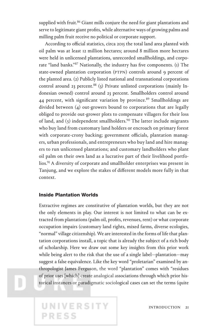supplied with fruit.<sup>86</sup> Giant mills conjure the need for giant plantations and serve to legitimate giant profits, while alternative ways of growing palms and milling palm fruit receive no political or corporate support.

According to official statistics, circa 2015 the total land area planted with oil palm was at least 12 million hectares; around 8 million more hectares were held in unlicensed plantations, unrecorded smallholdings, and corporate "land banks."87 Nationally, the industry has five components. (I) The state-owned plantation corporation (PTPN) controls around 9 percent of the planted area. (2) Publicly listed national and transnational corporations control around 23 percent.<sup>88</sup> (3) Private unlisted corporations (mainly Indonesian owned) control around 23 percent. Smallholders control around 44 percent, with significant variation by province.<sup>89</sup> Smallholdings are divided between (4) out-growers bound to corporations that are legally obliged to provide out-grower plots to compensate villagers for their loss of land, and  $(5)$  independent smallholders.<sup>90</sup> The latter include migrants who buy land from customary land holders or encroach on primary forest with corporate-crony backing; government officials, plantation managers, urban professionals, and entrepreneurs who buy land and hire managers to run unlicensed plantations; and customary landholders who plant oil palm on their own land as a lucrative part of their livelihood portfolios.<sup>91</sup> A diversity of corporate and smallholder enterprises was present in Tanjung, and we explore the stakes of diferent models more fully in that context.

#### Inside Plantation Worlds

Extractive regimes are constitutive of plantation worlds, but they are not the only elements in play. Our interest is not limited to what can be extracted from plantations (palm oil, profits, revenues, rent) or what corporate occupation impairs (customary land rights, mixed farms, diverse ecologies, "normal" village citizenship). We are interested in the forms of life that plantation corporations install, a topic that is already the subject of a rich body of scholarship. Here we draw out some key insights from this prior work while being alert to the risk that the use of a single label—plantation—may suggest a false equivalence. Like the key word "proletarian" examined by anthropologist James Ferguson, the word "plantation" comes with "residues of prior uses [which] create analogical associations through which prior historical instances or paradigmatic sociological cases can set the terms (quite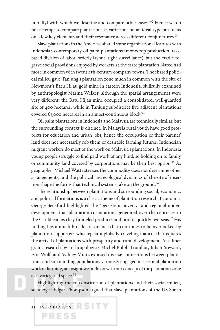literally) with which we describe and compare other cases."<sup>92</sup> Hence we do not attempt to compare plantations as variations on an ideal type but focus on a few key elements and their resonance across different conjunctures.<sup>93</sup>

Slave plantations in the Americas shared some organizational features with Indonesia's contemporary oil palm plantations (monocrop production, taskbased division of labor, orderly layout, tight surveillance), but the cradle-tograve social provisions enjoyed by workers at the state plantation Natco had more in common with twentieth-century company towns. The shared political milieu gave Tanjung's plantation zone much in common with the site of Newmont's Batu Hijau gold mine in eastern Indonesia, skillfully examined by anthropologist Marina Welker, although the spatial arrangements were very diferent: the Batu Hijau mine occupied a consolidated, well-guarded site of 400 hectares, while in Tanjung subdistrict five adjacent plantations covered 65,000 hectares in an almost-continuous block.<sup>94</sup>

Oil palm plantations in Indonesia and Malaysia are technically similar, but the surrounding context is distinct. In Malaysia rural youth have good prospects for education and urban jobs, hence the occupation of their parents' land does not necessarily rob them of desirable farming futures. Indonesian migrant workers do most of the work on Malaysia's plantations. In Indonesia young people struggle to find paid work of any kind, so holding on to family or community land coveted by corporations may be their best option.<sup>95</sup> As geographer Michael Watts stresses the commodity does not determine other arrangements, and the political and ecological dynamics of the site of insertion shape the forms that technical systems take on the ground.<sup>96</sup>

The relationship between plantations and surrounding social, economic, and political formations is a classic theme of plantation research. Economist George Beckford highlighted the "persistent poverty" and regional underdevelopment that plantation corporations generated over the centuries in the Caribbean as they funneled products and profits quickly overseas.<sup>97</sup> His finding has a much broader resonance that continues to be overlooked by plantation supporters who repeat a globally traveling mantra that equates the arrival of plantations with prosperity and rural development. At a finer grain, research by anthropologists Michel-Rolph Trouillot, Julian Steward, Eric Wolf, and Sydney Mintz exposed diverse connections between plantations and surrounding populations variously engaged in seasonal plantation work or farming, an insight we build on with our concept of the plantation zone as a variegated space.<sup>98</sup>

Highlighting the co-constitution of plantations and their social milieu, sociologist Edgar Thompson argued that slave plantations of the US South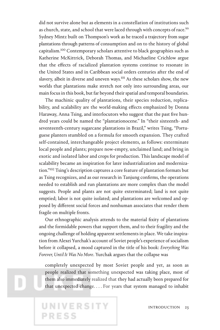did not survive alone but as elements in a constellation of institutions such as church, state, and school that were laced through with concepts of race.<sup>99</sup> Sydney Mintz built on Thompson's work as he traced a trajectory from sugar plantations through patterns of consumption and on to the history of global capitalism.<sup>100</sup> Contemporary scholars attentive to black geographies such as Katherine McKittrick, Deborah Thomas, and Michaeline Crichlow argue that the effects of racialized plantation systems continue to resonate in the United States and in Caribbean social orders centuries after the end of slavery, albeit in diverse and uneven ways.<sup>101</sup> As these scholars show, the new worlds that plantations make stretch not only into surrounding areas, our main focus in this book, but far beyond their spatial and temporal boundaries.

The machinic quality of plantations, their species reduction, replicability, and scalability are the world-making effects emphasized by Donna Haraway, Anna Tsing, and interlocutors who suggest that the past five hundred years could be named the "plantationocene." In "their sixteenth- and seventeenth-century sugarcane plantations in Brazil," writes Tsing, "Portuguese planters stumbled on a formula for smooth expansion. They crafted self-contained, interchangeable project elements, as follows: exterminate local people and plants; prepare now-empty, unclaimed land; and bring in exotic and isolated labor and crops for production. This landscape model of scalability became an inspiration for later industrialization and modernization."<sup>102</sup> Tsing's description captures a core feature of plantation formats but as Tsing recognizes, and as our research in Tanjung confirms, the operations needed to establish and run plantations are more complex than the model suggests. People and plants are not quite exterminated; land is not quite emptied; labor is not quite isolated; and plantations are welcomed and opposed by diferent social forces and nonhuman associates that render them fragile on multiple fronts.

Our ethnographic analysis attends to the material fixity of plantations and the formidable powers that support them, and to their fragility and the ongoing challenge of holding apparent settlements in place. We take inspiration from Alexei Yurchak's account of Soviet people's experience of socialism before it collapsed, a mood captured in the title of his book: *Everything Was Forever, Until It Was No More*. Yurchak argues that the collapse was

completely unexpected by most Soviet people and yet, as soon as people realized that something unexpected was taking place, most of them also immediately realized that they had actually been prepared for that unexpected change. . . . For years that system managed to inhabit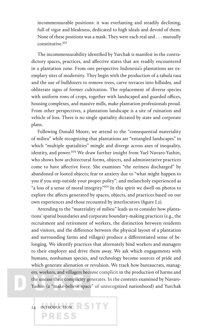incommensurable positions: it was everlasting and steadily declining, full of vigor and bleakness, dedicated to high ideals and devoid of them. None of these positions was a mask. They were each real and . . . mutually constitutive.103

The incommensurability identified by Yurchak is manifest in the contradictory spaces, practices, and affective states that are readily encountered in a plantation zone. From one perspective Indonesia's plantations are exemplary sites of modernity. They begin with the production of a tabula rasa and the use of bulldozers to remove trees, carve terraces into hillsides, and obliterate signs of former cultivation. The replacement of diverse species with uniform rows of crops, together with landscaped and guarded offices, housing complexes, and massive mills, make plantation professionals proud. From other perspectives, a plantation landscape is a site of ruination and vehicle of loss. There is no single spatiality dictated by state and corporate plans.

Following Donald Moore, we attend to the "consequential materiality of milieu" while recognizing that plantations are "entangled landscapes" in which "multiple spatialities" mingle and diverge across axes of inequality, identity, and power.<sup>104</sup> We draw further insight from Yael Navaro-Yashin, who shows how architectural forms, objects, and administrative practices come to have affective force. She examines "the eeriness discharged" by abandoned or looted objects; fear or anxiety due to "what might happen to you if you step outside your proper polity"; and melancholy experienced as "a loss of a sense of moral integrity."105 In this spirit we dwell on photos to explore the affects generated by spaces, objects, and practices based on our own experiences and those recounted by interlocutors (figure I.2).

Attending to the "materiality of milieu" leads us to consider how plantations' spatial boundaries and corporate boundary-making practices (e.g., the recruitment and retirement of workers, the distinction between residents and visitors, and the difference between the physical layout of a plantation and surrounding farms and villages) produce a differentiated sense of belonging. We identify practices that alternately bind workers and managers to their employer and drive them away. We ask which engagements with humans, nonhuman species, and technology become sources of pride and which generate alienation or revulsion. We track how bureaucrats, managers, workers, and villagers become complicit in the production of harms and the unease their complicity generates. In the contexts examined by Navaro-Yashin (a "make-believe space" of unrecognized nationhood) and Yurchak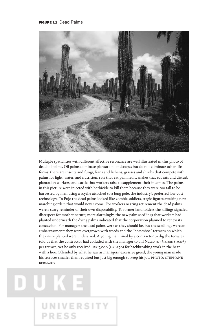#### FIGURE I.2 Dead Palms



Multiple spatialities with diferent affective resonance are well illustrated in this photo of dead oil palms. Oil palms dominate plantation landscapes but do not eliminate other life forms: there are insects and fungi, ferns and lichens, grasses and shrubs that compete with palms for light, water, and nutrition; rats that eat palm fruit; snakes that eat rats and disturb plantation workers; and cattle that workers raise to supplement their incomes. The palms in this picture were injected with herbicide to kill them because they were too tall to be harvested by men using a scythe attached to a long pole, the industry's preferred low-cost technology. To Pujo the dead palms looked like zombie soldiers, tragic figures awaiting new marching orders that would never come. For workers nearing retirement the dead palms were a scary reminder of their own disposability. To former landholders the killings signaled disrespect for mother nature; more alarmingly, the new palm seedlings that workers had planted underneath the dying palms indicated that the corporation planned to renew its concession. For managers the dead palms were as they should be, but the seedlings were an embarrassment: they were overgrown with weeds and the "horseshoe" terraces on which they were planted were undersized. A young man hired by a contractor to dig the terraces told us that the contractor had colluded with the manager to bill Natco IDR60,000 (USD6) per terrace, yet he only received IDRI7,000 (USDI.70) for backbreaking work in the heat with a hoe. Offended by what he saw as managers' excessive greed, the young man made his terraces smaller than required but just big enough to keep his job. PHOTO: STÉPHANE bernard.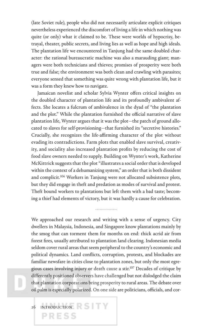(late Soviet rule), people who did not necessarily articulate explicit critiques nevertheless experienced the discomfort of living a life in which nothing was quite (or only) what it claimed to be. These were worlds of hypocrisy, betrayal, theater, public secrets, and living lies as well as hope and high ideals. The plantation life we encountered in Tanjung had the same doubled character: the rational bureaucratic machine was also a marauding giant; managers were both technicians and thieves; promises of prosperity were both true and false; the environment was both clean and crawling with parasites; everyone sensed that something was quite wrong with plantation life, but it was a form they knew how to navigate.

Jamaican novelist and scholar Sylvia Wynter offers critical insights on the doubled character of plantation life and its profoundly ambivalent affects. She locates a fulcrum of ambivalence in the dyad of "the plantation and the plot." While the plantation furnished the official narrative of slave plantation life, Wynter argues that it was the plot—the patch of ground allocated to slaves for self-provisioning—that furnished its "secretive histories." Crucially, she recognizes the life-affirming character of the plot without evading its contradictions. Farm plots that enabled slave survival, creativity, and sociality also increased plantation profits by reducing the cost of food slave owners needed to supply. Building on Wynter's work, Katherine McKittrick suggests that the plot "illustrates a social order that is developed within the context of a dehumanizing system," an order that is both dissident and complicit.106 Workers in Tanjung were not allocated subsistence plots, but they did engage in theft and predation as modes of survival and protest. Theft bound workers to plantations but left them with a bad taste; becoming a thief had elements of victory, but it was hardly a cause for celebration.

We approached our research and writing with a sense of urgency. City dwellers in Malaysia, Indonesia, and Singapore know plantations mainly by the smog that can torment them for months on end: thick acrid air from forest fires, usually attributed to plantation land clearing. Indonesian media seldom cover rural areas that seem peripheral to the country's economic and political dynamics. Land conflicts, corruption, protests, and blockades are familiar newsfare in cities close to plantation zones, but only the most egregious cases involving injury or death cause a stir.107 Decades of critique by differently positioned observers have challenged but not dislodged the claim that plantation corporations bring prosperity to rural areas. The debate over oil palm is especially polarized. On one side are politicians, officials, and cor-

26 Introduction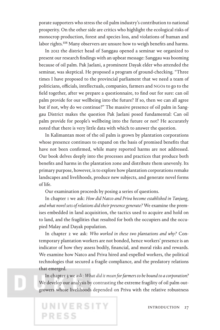porate supporters who stress the oil palm industry's contribution to national prosperity. On the other side are critics who highlight the ecological risks of monocrop production, forest and species loss, and violations of human and labor rights.<sup>108</sup> Many observers are unsure how to weigh benefits and harms.

In 2012 the district head of Sanggau opened a seminar we organized to present our research findings with an upbeat message: Sanggau was booming because of oil palm. Pak Jaelani, a prominent Dayak elder who attended the seminar, was skeptical. He proposed a program of ground-checking. "Three times I have proposed to the provincial parliament that we need a team of politicians, officials, intellectuals, companies, farmers and ngos to go to the field together, after we prepare a questionnaire, to find out for sure: can oil palm provide for our wellbeing into the future? If so, then we can all agree but if not, why do we continue?" The massive presence of oil palm in Sanggau District makes the question Pak Jaelani posed fundamental: Can oil palm provide for people's wellbeing into the future or not? He accurately noted that there is very little data with which to answer the question.

In Kalimantan most of the oil palm is grown by plantation corporations whose presence continues to expand on the basis of promised benefits that have not been confirmed, while many reported harms are not addressed. Our book delves deeply into the processes and practices that produce both benefits and harms in the plantation zone and distribute them unevenly. Its primary purpose, however, is to explore how plantation corporations remake landscapes and livelihoods, produce new subjects, and generate novel forms of life.

Our examination proceeds by posing a series of questions.

In chapter 1 we ask: *How did Natco and Priva become established in Tanjung, and what novel sets of relations did their presence generate?* We examine the premises embedded in land acquisition, the tactics used to acquire and hold on to land, and the fragilities that resulted for both the occupiers and the occupied Malay and Dayak population.

In chapter 2 we ask: *Who worked in these two plantations and why?* Contemporary plantation workers are not bonded, hence workers' presence is an indicator of how they assess bodily, financial, and moral risks and rewards. We examine how Natco and Priva hired and expelled workers, the political technologies that secured a fragile compliance, and the predatory relations that emerged.

In chapter 3 we ask: *What did it mean for farmers to be bound to a corporation?*  We develop our analysis by contrasting the extreme fragility of oil palm outgrowers whose livelihoods depended on Priva with the relative robustness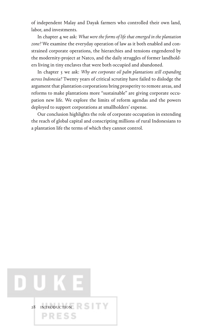of independent Malay and Dayak farmers who controlled their own land, labor, and investments.

In chapter 4 we ask: *What were the forms of life that emerged in the plantation zone?* We examine the everyday operation of law as it both enabled and constrained corporate operations, the hierarchies and tensions engendered by the modernity-project at Natco, and the daily struggles of former landholders living in tiny enclaves that were both occupied and abandoned.

In chapter 5 we ask: *Why are corporate oil palm plantations still expanding across Indonesia?* Twenty years of critical scrutiny have failed to dislodge the argument that plantation corporations bring prosperity to remote areas, and reforms to make plantations more "sustainable" are giving corporate occupation new life. We explore the limits of reform agendas and the powers deployed to support corporations at smallholders' expense.

Our conclusion highlights the role of corporate occupation in extending the reach of global capital and conscripting millions of rural Indonesians to a plantation life the terms of which they cannot control.

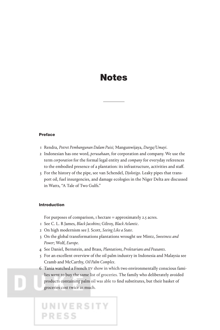### Notes

#### Preface

- 1 Rendra, *Potret Pembangunan Dalam Puisi;* Mangunwijaya, *Durga/Umayi*.
- 2 Indonesian has one word, *perusahaan*, for corporation and company. We use the term *corporation* for the formal legal entity and *company* for everyday references to the embodied presence of a plantation: its infrastructure, activities and staff.
- 3 For the history of the pipe, see van Schendel, *Djolotigo*. Leaky pipes that transport oil, fuel insurgencies, and damage ecologies in the Niger Delta are discussed in Watts, "A Tale of Two Gulfs."

#### Introduction

For purposes of comparison, 1 hectare = approximately 2.5 acres.

- 1 See C. L. R James, *Black Jacobins*; Gilroy, *Black Atlantic*.
- 2 On high modernism see J. Scott, *Seeing Like a State*.
- 3 On the global transformations plantations wrought see Mintz, *Sweetness and Power*; Wolf, *Europe*.
- 4 See Daniel, Bernstein, and Brass, *Plantations, Proletarians and Peasants*.
- 5 For an excellent overview of the oil palm industry in Indonesia and Malaysia see Cramb and McCarthy, *Oil Palm Complex*.
- 6 Tania watched a French TV show in which two environmentally conscious families went to buy the same list of groceries. The family who deliberately avoided products containing palm oil was able to find substitutes, but their basket of groceries cost twice as much.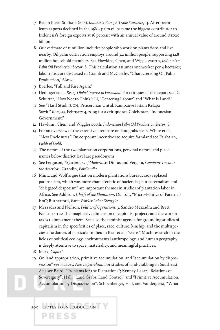- 7 Badan Pusat Statistik (BPS), *Indonesia Foreign Trade Statistics*, 13. After petroleum exports declined in the 1980s palm oil became the biggest contributor to Indonesia's foreign exports at 16 percent with an annual value of around USD20 billion.
- 8 Our estimate of 15 million includes people who work on plantations and live nearby. Oil palm cultivation employs around 3.2 million people, supporting 12.8 million household members. See Hawkins, Chen, and Wigglesworth, *Indonesian Palm Oil Production Sector*, 8. This calculation assumes one worker per 4 hectares; labor ratios are discussed in Cramb and McCarthy, "Characterising Oil Palm Production," 66n9.
- 9 Byerlee, "Fall and Rise Again."
- 10 Deninger et al., *Rising Global Interest in Farmland*. For critiques of this report see De Schutter, "How Not to Think"; Li, "Centering Labour" and "What Is Land?"
- 11 See "Hasil Studi iucn, Pencerahan Untuk Kampanye Hitam Kelapa Sawit." *Kompas*, February 4, 2019; for a critique see Colchester, "Indonesian Government."
- 12 Hawkins, Chen, and Wigglesworth, *Indonesian Palm Oil Production Sector*, 8.
- 13 For an overview of the extensive literature on landgrabs see B. White et al., "New Enclosures." On corporate incentives to acquire farmland see Fairbairn, *Fields of Gold*.
- 14 The names of the two plantation corporations, personal names, and place names below district level are pseudonyms.
- 15 See Ferguson, *Expectations of Modernity*; Dinius and Vergara, *Company Towns in the Americas*; Grandin, *Fordlandia*.
- 16 Mintz and Wolf argue that on modern plantations bureaucracy replaced paternalism, which was more characteristic of haciendas; but paternalism and "delegated despotism" are important themes in studies of plantation labor in Africa. See Addison, *Chiefs of the Plantation*; Du Toit, "Micro-Politics of Paternalism"; Rutherford, *Farm Worker Labor Struggles*.
- 17 Mezzadra and Neilson, *Politics of Operations*, 3. Sandro Mezzadra and Brett Neilson stress the imaginative dimension of capitalist projects and the work it takes to implement them. See also the feminist agenda for grounding studies of capitalism in the specificities of place, race, culture, kinship, and the multispecies affordances of particular milieu in Bear et al., "Gens." Much research in the fields of political ecology, environmental anthropology, and human geography is deeply attentive to space, materiality, and meaningful practices.
- 18 Marx, *Capital*.
- 19 On land appropriation, primitive accumulation, and "accumulation by dispossession" see Harvey, *New Imperialism*. For studies of land-grabbing in Southeast Asia see Baird, "Problems for the Plantations"; Kenney-Lazar, "Relations of Sovereignty"; Hall, "Land Grabs, Land Control" and "Primitive Accumulation, Accumulation by Dispossession"; Schoenberger, Hall, and Vandergeest, "What

200 Notes to Introduction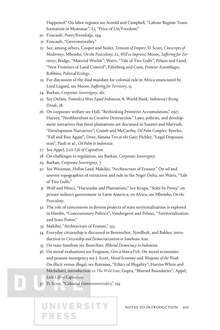Happened." On labor regimes see Arnold and Campbell, "Labour Regime Transformation in Myanmar"; Li, "Price of Un/Freedom."

- 20 Foucault, *Power/Knowledge*, 194.
- 21 Foucault, "Govermentality."
- 22 See, among others, Cooper and Stoler, *Tensions of Empire*; D. Scott, *Conscripts of Modernity*; Mbembe, *On the Postcolony*; Li, *Will to Improve*; Moore, *Suffering for Territory*; Bridge, "Material Worlds"; Watts, "Tale of Two Gulfs"; Peluso and Lund, "New Frontiers of Land Control"; Eilenberg and Cons, *Frontier Assemblages*; Robbins, *Political Ecology*.
- 23 For discussion of the dual mandate for colonial rule in Africa enunciated by Lord Lugard, see Moore, *Suffering for Territory*, 13.
- 24 Barkan, *Corporate Sovereignty*, 161.
- 25 See Oxfam, *Towards a More Equal Indonesia*, 8; World Bank, *Indonesia's Rising Divide*, 18.
- 26 On corporate welfare see Hall, "Rethinking Primitive Accumulation," 1197; Harvey, "Neoliberalism as Creative Destruction." Laws, policies, and development narratives that favor plantations are discussed in Susanti and Maryudi, "Development Narratives"; Cramb and McCarthy, *Oil Palm Complex*; Byerlee, "Fall and Rise Again"; Dove, *Banana Tree at the Gate*; Pichler, "Legal Dispossession"; Paoli et al., *Oil Palm in Indonesia*.
- 27 See Appel, *Licit Life of Capitalism*.
- 28 On challenges to regulation, see Barkan, *Corporate Sovereignty*.
- 29 Barkan, *Corporate Sovereignty*, 7.
- 30 See Weizman, *Hollow Land*; Makdisi, "Architecture of Erasure." On oil and uneven topographies of extraction and rule in the Niger Delta, see Watts, "Tale of Two Gulfs."
- 31 Wolf and Mintz, "Haciendas and Plantations." See Krupa, "State by Proxy," on private indirect government in Latin America; on Africa, see Mbembe, *On the Postcolony*.
- 32 The role of concessions in diverse projects of state territorialization is explored in Hardin, "Concessionary Politics"; Vandergeest and Peluso, "Territorialization and State Power."
- 33 Makdisi, "Architecture of Erasure," 555.
- 34 Everyday citizenship is discussed in Berenschot, Nordholt, and Bakker, introduction to *Citizenship and Democratization in Southeast Asia*.
- 35 On state familism see Bourchier, *Illiberal Democracy in Indonesia*.
- 36 On moral evaluations see Ferguson, *Give a Man a Fish*. On moral economies and peasant insurgency see J. Scott, *Moral Economy* and *Weapons of the Weak*. On illicit versus illegal, see Roitman, "Ethics of Illegality"; Harriss-White and Michelutti, introduction to *The Wild East*; Gupta, "Blurred Boundaries"; Appel, *Licit Life of Capitalism.*
- 37 D. Scott, "Colonial Governmentality," 193.

NIVERSIT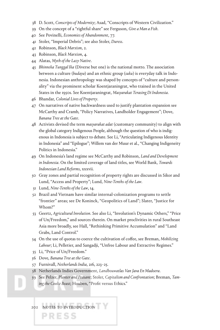- 38 D. Scott, *Conscripts of Modernity*; Asad, "Conscripts of Western Civilization."
- 39 On the concept of a "rightful share" see Ferguson, *Give a Man a Fish*.
- 40 See Povinelli, *Economies of Abandonment*, 77.
- 41 Stoler, "Imperial Debris"; see also Stoler, *Duress*.
- 42 Robinson, *Black Marxism*, 2.
- 43 Robinson, *Black Marxism*, 4.
- 44 Alatas, *Myth of the Lazy Native*.
- 45 *Bhinneka Tunggal Ika* (Diverse but one) is the national motto. The association between a culture (*budaya*) and an ethnic group (*suku*) is everyday talk in Indonesia. Indonesian anthropology was shaped by concepts of "culture and personality" via the prominent scholar Koentjaraningrat, who trained in the United States in the 1950s. See Koentjaraningrat, *Masyarakat Terasing Di Indonesia*.
- 46 Bhandar, *Colonial Lives of Property*.
- 47 On narratives of native backwardness used to justify plantation expansion see McCarthy and Cramb, "Policy Narratives, Landholder Engagement"; Dove, *Banana Tree at the Gate*.
- 48 Activists devised the term *masyarakat adat* (customary community) to align with the global category Indigenous People, although the question of who is indigenous in Indonesia is subject to debate. See Li, "Articulating Indigenous Identity in Indonesia" and "Epilogue"; Willem van der Muur et al., "Changing Indigeneity Politics in Indonesia."
- 49 On Indonesia's land regime see McCarthy and Robinson, *Land and Development in Indonesia*. On the limited coverage of land titles, see World Bank, *Towards Indonesian Land Reforms*, xxxvii.
- 50 Gray zones and partial recognition of property rights are discussed in Sikor and Lund, "Access and Property"; Lund, *Nine-Tenths of the Law*.
- 51 Lund, *Nine-Tenths of the Law*, 14.
- 52 Brazil and Vietnam have similar internal-colonization programs to settle "frontier" areas; see De Koninck, "Geopolitics of Land"; Slater, "Justice for Whom?"
- 53 Geertz, *Agricultural Involution*. See also Li, "Involution's Dynamic Others," "Price of Un/Freedom," and sources therein. On market proclivities in rural Southeast Asia more broadly, see Hall, "Rethinking Primitive Accumulation" and "Land Grabs, Land Control."
- 54 On the use of quotas to coerce the cultivation of coffee, see Breman, *Mobilizing Labour*; Li, Pelletier, and Sangadji, "Unfree Labour and Extractive Regimes."
- 55 Li, "Price of Un/Freedom."
- 56 Dove, *Banana Tree at the Gate*.
- 57 Furnivall, *Netherlands India*, 216, 223–25.
- 58 Netherlands Indies Government, *Landbouwatlas Van Java En Madoera*.
- 59 See Pelzer, *Planter and Peasant*; Stoler, *Capitalism and Confrontation*; Breman, *Taming the Coolie Beast*; Houben, "Profit versus Ethics."

202 Notes to Introduction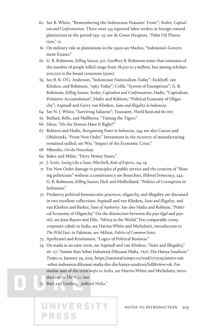- 60 See B. White, "Remembering the Indonesian Peasants' Front"; Stoler, *Capitalism and Confrontation*. There were 553 reported labor strikes in foreign-owned plantations in the period 1951–55; see de Groot Heupner, "Palm Oil Plantation," 12.
- 61 On military rule in plantations in the 1950s see Mackie, "Indonesia's Government Estates."
- 62 G. B. Robinson, *Killing Season*, 301. Geoffrey B. Robinson notes that estimates of the number of people killed range from 78,500 to 3 million, but among scholars 500,000 is the broad consensus (315n1).
- 63 See B. R. O'G. Anderson, "Indonesian Nationalism Today"; Eickhoff, van Klinken, and Robinson, "1965 Today"; Cribb, "System of Exemptions"; G. B. Robinson, *Killing Season*; Stoler, *Capitalism and Confrontation*; Hadiz, "Capitalism, Primitive Accumulation"; Hadiz and Robison, "Political Economy of Oligarchy"; Aspinall and Gerry van Klinken, *State and Illegality in Indonesia*.
- 64 See N. J. White, "Surviving Sukarno"; Toussaint, *World Bank and the IMF*.
- 65 Bullard, Bello, and Mallhotra, "Taming the Tigers."
- 66 Silver, "Do the Donors Have It Right?"
- 67 Robison and Hadiz, *Reorganising Power in Indonesia*, 234; see also Casson and Obidzinski, "From New Order." Investment in the recovery of manufacturing remained stalled; see Wie, "Impact of the Economic Crisis."
- 68 Mbembe, *On the Postcolony*.
- 69 Baker and Milne, "Dirty Money States."
- 70 J. Scott, *Seeing Like a State*; Mitchell, *Rule of Experts*, 114–19.
- 71 For New Order damage to principles of public service and the creation of "floating politicians" without a constituency see Bourchier, *Illiberal Democracy*, 242; G. B. Robinson, *Killing Season*; Dick and Mulholland, "Politics of Corruption in Indonesia."
- 72 Predatory political-bureaucratic practices, oligarchy, and illegality are discussed in two excellent collections: Aspinall and van Klinken, *State and Illegality*, and van Klinken and Barker, *State of Authority*. See also Hadiz and Robison, "Political Economy of Oligarchy." On the distinction between the *pays légal* and *pays réel*, see Jean-Bayart and Ellis, "Africa in the World." For comparable cronycorporate cabals in India, see Harriss-White and Michelutti, introduction to *The Wild East*; in Pakistan, see Akhtar, *Politics of Common Sense*.
- 73 Apriliyanti and Kristiansen, "Logics of Political Business."
- 74 On mafia as an emic term, see Aspinall and van Klinken, "State and Illegality," 26–27; "Amien Rais Sebut Indonesia Dikuasai Mafia, tkn: Dia Hanya Suudzon." *Tempo.co*, January 29, 2019, https://nasional.tempo.co/read/1170129/amien-rais -sebut-indonesia-dikuasai-mafia-tkn-dia-hanya-suudzon/full&view=ok. For similar uses of the term *mafia* in India, see Harriss-White and Michelutti, introduction to *The Wild East*.
- 75 Butt and Lindsey, "Judicial Mafia."

UNIVERSIT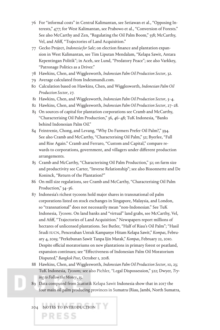- 76 For "informal costs" in Central Kalimantan, see Setiawan et al., "Opposing Interests," 477; for West Kalimantan, see Prabowo et al., "Conversion of Forests." See also McCarthy and Zen, "Regulating the Oil Palm Boom," 558; McCarthy, Vel, and Afiff, "Trajectories of Land Acquisition."
- 77 Gecko Project, *Indonesia for Sale*; on election finance and plantation expansion in West Kalimantan, see Tim Liputan Mendalam, "Kelapa Sawit, Antara Kepentingan Politik"; in Aceh, see Lund, "Predatory Peace"; see also Varkkey, "Patronage Politics as a Driver."
- 78 Hawkins, Chen, and Wigglesworth, *Indonesian Palm Oil Production Sector*, 32.
- 79 Average calculated from Indexmundi.com.
- 80 Calculation based on Hawkins, Chen, and Wigglesworth, *Indonesian Palm Oil Production Sector*, 27.
- 81 Hawkins, Chen, and Wigglesworth, *Indonesian Palm Oil Production Sector*, 3–4.
- 82 Hawkins, Chen, and Wigglesworth, *Indonesian Palm Oil Production Sector*, 27–28.
- 83 On sources of capital for plantation corporations see Cramb and McCarthy, "Characterising Oil Palm Production," 36, 46–48; TuK Indonesia, "Banks behind Indonesian Palm Oil."
- 84 Feintrenie, Chong, and Levang, "Why Do Farmers Prefer Oil Palm?," 394. See also Cramb and McCarthy, "Characterising Oil Palm," 32; Byerlee, "Fall and Rise Again." Cramb and Ferraro, "Custom and Capital," compare rewards to corporations, government, and villagers under diferent production arrangements.
- 85 Cramb and McCarthy, "Characterising Oil Palm Production," 32; on farm size and productivity see Carter, "Inverse Relationship"; see also Bissonnette and De Koninck, "Return of the Plantation?"
- 86 On mill size regulations, see Cramb and McCarthy, "Characterising Oil Palm Production," 34-36.
- 87 Indonesia's richest tycoons hold major shares in transnational oil palm corporations listed on stock exchanges in Singapore, Malaysia, and London, so "transnational" does not necessarily mean "non-Indonesian." See TuK Indonesia, *Tycoons*. On land banks and "virtual" land grabs, see McCarthy, Vel, and Afiff, "Trajectories of Land Acquisition." Newspapers report millions of hectares of unlicensed plantations. See Butler, "Half of Riau's Oil Palm"; "Hasil Studi iucn, Pencerahan Untuk Kampanye Hitam Kelapa Sawit," *Kompas*, February 4, 2019; "Perkebunan Sawit Tanpa Ijin Marak," *Kompas*, February 22, 2010. Despite official moratoriums on new plantations in primary forest or peatland, expansion continues; see "Effectiveness of Indonesian Palm Oil Moratorium Disputed," *Bangkok Post*, October 1, 2018.
- 88 Hawkins, Chen, and Wigglesworth, *Indonesian Palm Oil Production Sector*, 10, 23; TuK Indonesia, *Tycoons;* see also Pichler, "Legal Dispossession," 522; Dwyer, *Trying to Follow the Money*, 15.
- 89 Data computed from Statistik Kelapa Sawit Indonesia show that in 2017 the four main oil palm producing provinces in Sumatra (Riau, Jambi, North Sumatra,

204 Notes to Introduction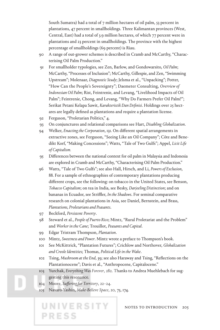South Sumatra) had a total of 7 million hectares of oil palm, 53 percent in plantations, 47 percent in smallholdings. Three Kalimantan provinces (West, Central, East) had a total of 3.9 million hectares, of which 77 percent were in plantations and 23 percent in smallholdings. The province with the highest percentage of smallholdings (69 percent) is Riau.

- 90 A range of out-grower schemes is described in Cramb and McCarthy, "Characterising Oil Palm Production."
- 91 For smallholder typologies, see Zen, Barlow, and Gondowarsito, *Oil Palm*; McCarthy, "Processes of Inclusion"; McCarthy, Gillespie, and Zen, "Swimming Upstream"; Molenaar, *Diagnostic Study*; Jelsma et al., "Unpacking"; Potter, "How Can the People's Sovereignty"; Daemeter Consulting, *Overview of Indonesian Oil Palm*; Rist, Feintrenie, and Levang, "Livelihood Impacts of Oil Palm"; Feintrenie, Chong, and Levang, "Why Do Farmers Prefer Oil Palm?"; Serikat Petani Kelapa Sawit, *Karakteristik Dan Definisi*. Holdings over 25 hectares are legally defined as plantations and require a plantation license.
- 92 Ferguson, "Proletarian Politics," 4.
- 93 On conjunctures and relational comparisons see Hart, *Disabling Globalization*.
- 94 Welker, *Enacting the Corporation*, 131. On diferent spatial arrangements in extractive zones, see Ferguson, "Seeing Like an Oil Company"; Côte and Benedikt Korf, "Making Concessions"; Watts, "Tale of Two Gulfs"; Appel, *Licit Life of Capitalism.*
- 95 Differences between the national context for oil palm in Malaysia and Indonesia are explored in Cramb and McCarthy, "Characterising Oil Palm Production."
- 96 Watts, "Tale of Two Gulfs"; see also Hall, Hirsch, and Li, *Powers of Exclusion*, 88. For a sample of ethnographies of contemporary plantations producing diferent crops, see the following: on tobacco in the United States, see Benson, *Tobacco Capitalism*; on tea in India, see Besky, *Darjeeling Distinction*; and on bananas in Ecuador, see Striffler, *In the Shadows*. For seminal comparative research on colonial plantations in Asia, see Daniel, Bernstein, and Brass, *Plantations, Proletarians and Peasants*.
- 97 Beckford, *Persistent Poverty*.
- 98 Steward et al., *People of Puerto Rico*; Mintz, "Rural Proletariat and the Problem" and *Worker in the Cane*; Trouillot, *Peasants and Capital*.
- 99 Edgar Tristram Thompson, *Plantation*.
- 100 Mintz, *Sweetness and Power*. Mintz wrote a preface to Thompson's book.
- 101 See McKittrick, "Plantation Futures"; Crichlow and Northover, *Globalization and Creole Identities*; Thomas, *Political Life in the Wake*.
- 102 Tsing, *Mushroom at the End*, 39; see also Haraway and Tsing, "Reflections on the Plantationocene"; Davis et al., "Anthropocene, Capitalocene."
- 103 Yurchak, *Everything Was Forever*, 282. Thanks to Andrea Muehlebach for suggesting this resonance.
- 104 Moore, *Suffering for Territory*, 22–24.

UNIVERSITY

PRESS

105 Navaro-Yashin, *Make-Believe Space*, 20, 75, 174.

NOTES TO INTRODUCTION 205